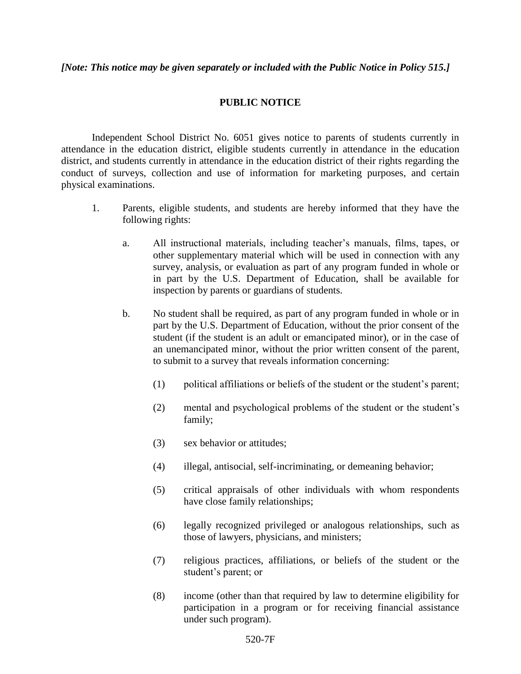## **PUBLIC NOTICE**

Independent School District No. 6051 gives notice to parents of students currently in attendance in the education district, eligible students currently in attendance in the education district, and students currently in attendance in the education district of their rights regarding the conduct of surveys, collection and use of information for marketing purposes, and certain physical examinations.

- 1. Parents, eligible students, and students are hereby informed that they have the following rights:
	- a. All instructional materials, including teacher's manuals, films, tapes, or other supplementary material which will be used in connection with any survey, analysis, or evaluation as part of any program funded in whole or in part by the U.S. Department of Education, shall be available for inspection by parents or guardians of students.
	- b. No student shall be required, as part of any program funded in whole or in part by the U.S. Department of Education, without the prior consent of the student (if the student is an adult or emancipated minor), or in the case of an unemancipated minor, without the prior written consent of the parent, to submit to a survey that reveals information concerning:
		- (1) political affiliations or beliefs of the student or the student's parent;
		- (2) mental and psychological problems of the student or the student's family;
		- (3) sex behavior or attitudes;
		- (4) illegal, antisocial, self-incriminating, or demeaning behavior;
		- (5) critical appraisals of other individuals with whom respondents have close family relationships;
		- (6) legally recognized privileged or analogous relationships, such as those of lawyers, physicians, and ministers;
		- (7) religious practices, affiliations, or beliefs of the student or the student's parent; or
		- (8) income (other than that required by law to determine eligibility for participation in a program or for receiving financial assistance under such program).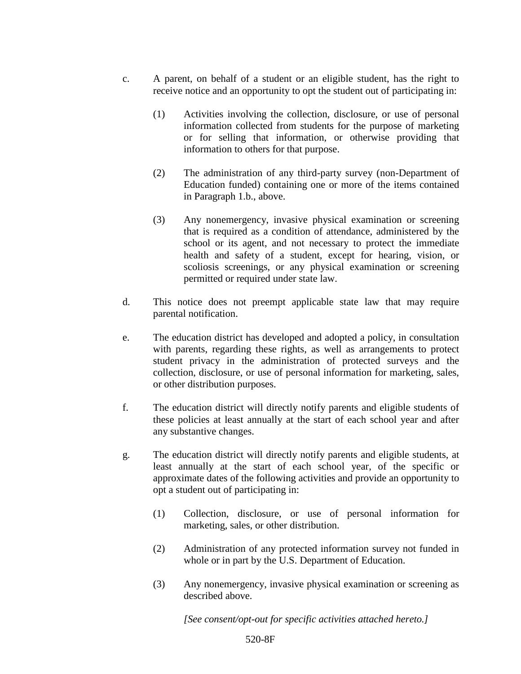- c. A parent, on behalf of a student or an eligible student, has the right to receive notice and an opportunity to opt the student out of participating in:
	- (1) Activities involving the collection, disclosure, or use of personal information collected from students for the purpose of marketing or for selling that information, or otherwise providing that information to others for that purpose.
	- (2) The administration of any third-party survey (non-Department of Education funded) containing one or more of the items contained in Paragraph 1.b., above.
	- (3) Any nonemergency, invasive physical examination or screening that is required as a condition of attendance, administered by the school or its agent, and not necessary to protect the immediate health and safety of a student, except for hearing, vision, or scoliosis screenings, or any physical examination or screening permitted or required under state law.
- d. This notice does not preempt applicable state law that may require parental notification.
- e. The education district has developed and adopted a policy, in consultation with parents, regarding these rights, as well as arrangements to protect student privacy in the administration of protected surveys and the collection, disclosure, or use of personal information for marketing, sales, or other distribution purposes.
- f. The education district will directly notify parents and eligible students of these policies at least annually at the start of each school year and after any substantive changes.
- g. The education district will directly notify parents and eligible students, at least annually at the start of each school year, of the specific or approximate dates of the following activities and provide an opportunity to opt a student out of participating in:
	- (1) Collection, disclosure, or use of personal information for marketing, sales, or other distribution.
	- (2) Administration of any protected information survey not funded in whole or in part by the U.S. Department of Education.
	- (3) Any nonemergency, invasive physical examination or screening as described above.

*[See consent/opt-out for specific activities attached hereto.]*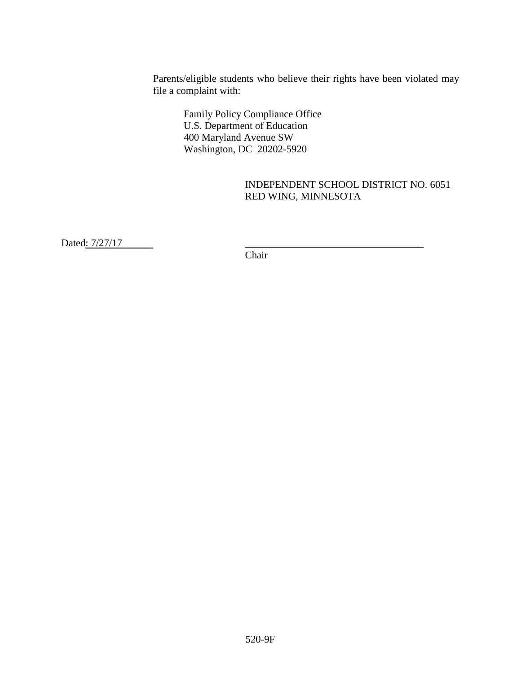Parents/eligible students who believe their rights have been violated may file a complaint with:

> Family Policy Compliance Office U.S. Department of Education 400 Maryland Avenue SW Washington, DC 20202-5920

> > INDEPENDENT SCHOOL DISTRICT NO. 6051 RED WING, MINNESOTA

Dated:  $7/27/17$ 

**Chair**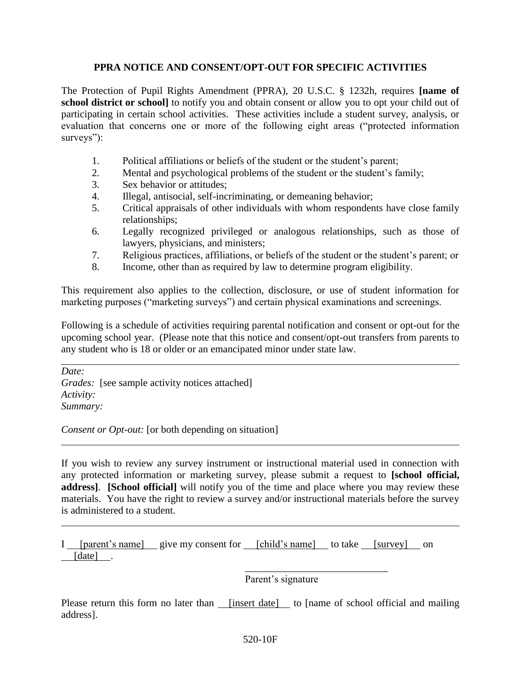## **PPRA NOTICE AND CONSENT/OPT-OUT FOR SPECIFIC ACTIVITIES**

The Protection of Pupil Rights Amendment (PPRA), 20 U.S.C. § 1232h, requires **[name of school district or school]** to notify you and obtain consent or allow you to opt your child out of participating in certain school activities. These activities include a student survey, analysis, or evaluation that concerns one or more of the following eight areas ("protected information surveys"):

- 1. Political affiliations or beliefs of the student or the student's parent;
- 2. Mental and psychological problems of the student or the student's family;
- 3. Sex behavior or attitudes;
- 4. Illegal, antisocial, self-incriminating, or demeaning behavior;
- 5. Critical appraisals of other individuals with whom respondents have close family relationships;
- 6. Legally recognized privileged or analogous relationships, such as those of lawyers, physicians, and ministers;
- 7. Religious practices, affiliations, or beliefs of the student or the student's parent; or
- 8. Income, other than as required by law to determine program eligibility.

This requirement also applies to the collection, disclosure, or use of student information for marketing purposes ("marketing surveys") and certain physical examinations and screenings.

Following is a schedule of activities requiring parental notification and consent or opt-out for the upcoming school year. (Please note that this notice and consent/opt-out transfers from parents to any student who is 18 or older or an emancipated minor under state law.

*Date: Grades:* [see sample activity notices attached] *Activity: Summary:*

*Consent or Opt-out:* [or both depending on situation]

If you wish to review any survey instrument or instructional material used in connection with any protected information or marketing survey, please submit a request to **[school official, address]**. **[School official]** will notify you of the time and place where you may review these materials. You have the right to review a survey and/or instructional materials before the survey is administered to a student.

| [parent's name] | give my consent for [child's name] to take |  | survey | <sub>on</sub> |
|-----------------|--------------------------------------------|--|--------|---------------|
| [date]          |                                            |  |        |               |

Parent's signature

\_\_\_\_\_\_\_\_\_\_\_\_\_\_\_\_\_\_\_\_\_\_\_\_\_\_\_\_

Please return this form no later than *[insert date]* to [name of school official and mailing address].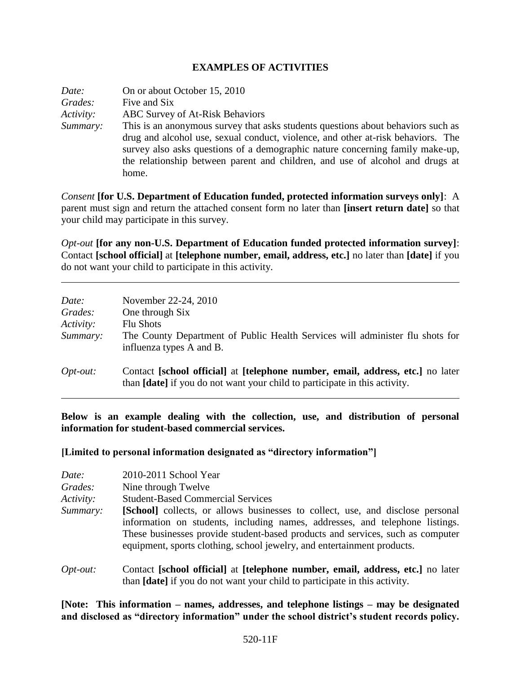## **EXAMPLES OF ACTIVITIES**

*Date:* On or about October 15, 2010 *Grades:* Five and Six *Activity:* ABC Survey of At-Risk Behaviors *Summary:* This is an anonymous survey that asks students questions about behaviors such as drug and alcohol use, sexual conduct, violence, and other at-risk behaviors. The survey also asks questions of a demographic nature concerning family make-up, the relationship between parent and children, and use of alcohol and drugs at home.

*Consent* **[for U.S. Department of Education funded, protected information surveys only]**: A parent must sign and return the attached consent form no later than **[insert return date]** so that your child may participate in this survey.

*Opt-out* **[for any non-U.S. Department of Education funded protected information survey]**: Contact **[school official]** at **[telephone number, email, address, etc.]** no later than **[date]** if you do not want your child to participate in this activity.

| Date:<br>Grades:<br>Activity:<br>Summary: | November 22-24, 2010<br>One through Six<br><b>Flu Shots</b><br>The County Department of Public Health Services will administer flu shots for<br>influenza types A and B. |
|-------------------------------------------|--------------------------------------------------------------------------------------------------------------------------------------------------------------------------|
| $Opt-out:$                                | Contact [school official] at [telephone number, email, address, etc.] no later<br>than <b>[date]</b> if you do not want your child to participate in this activity.      |

**Below is an example dealing with the collection, use, and distribution of personal information for student-based commercial services.**

## **[Limited to personal information designated as "directory information"]**

| Date:      | 2010-2011 School Year                                                                                                                                                                                                                                                                                                              |
|------------|------------------------------------------------------------------------------------------------------------------------------------------------------------------------------------------------------------------------------------------------------------------------------------------------------------------------------------|
| Grades:    | Nine through Twelve                                                                                                                                                                                                                                                                                                                |
| Activity:  | <b>Student-Based Commercial Services</b>                                                                                                                                                                                                                                                                                           |
| Summary:   | <b>[School]</b> collects, or allows businesses to collect, use, and disclose personal<br>information on students, including names, addresses, and telephone listings.<br>These businesses provide student-based products and services, such as computer<br>equipment, sports clothing, school jewelry, and entertainment products. |
| $Opt-out:$ | Contact [school official] at [telephone number, email, address, etc.] no later<br>than [date] if you do not want your child to participate in this activity.                                                                                                                                                                       |

**[Note: This information – names, addresses, and telephone listings – may be designated and disclosed as "directory information" under the school district's student records policy.**